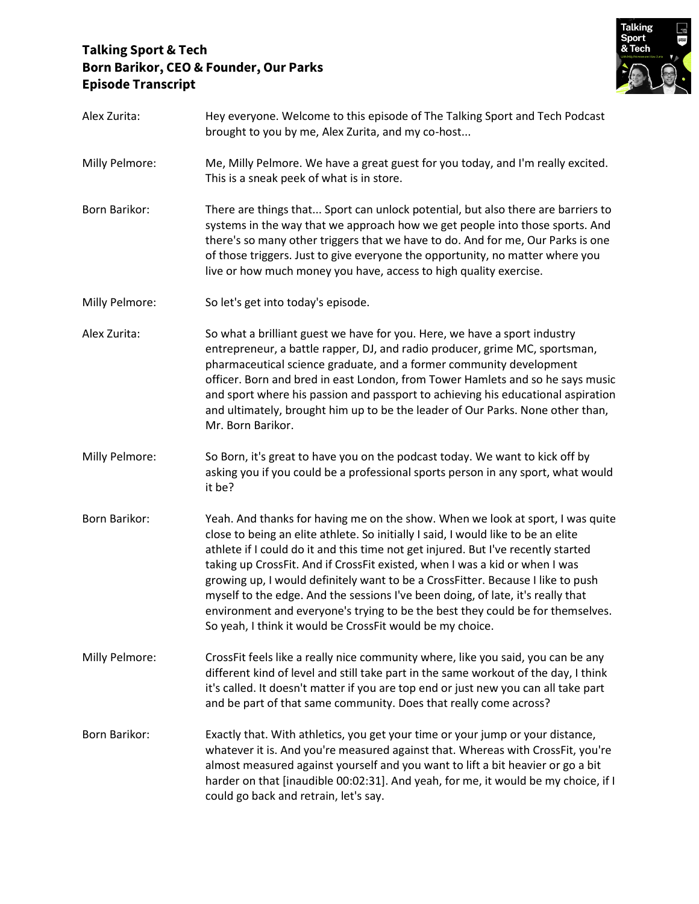## **Talking Sport & Tech Born Barikor, CEO & Founder, Our Parks Episode Transcript**



| Alex Zurita:   | Hey everyone. Welcome to this episode of The Talking Sport and Tech Podcast<br>brought to you by me, Alex Zurita, and my co-host                                                                                                                                                                                                                                                                                                                                                                                                                                                                                                                             |
|----------------|--------------------------------------------------------------------------------------------------------------------------------------------------------------------------------------------------------------------------------------------------------------------------------------------------------------------------------------------------------------------------------------------------------------------------------------------------------------------------------------------------------------------------------------------------------------------------------------------------------------------------------------------------------------|
| Milly Pelmore: | Me, Milly Pelmore. We have a great guest for you today, and I'm really excited.<br>This is a sneak peek of what is in store.                                                                                                                                                                                                                                                                                                                                                                                                                                                                                                                                 |
| Born Barikor:  | There are things that Sport can unlock potential, but also there are barriers to<br>systems in the way that we approach how we get people into those sports. And<br>there's so many other triggers that we have to do. And for me, Our Parks is one<br>of those triggers. Just to give everyone the opportunity, no matter where you<br>live or how much money you have, access to high quality exercise.                                                                                                                                                                                                                                                    |
| Milly Pelmore: | So let's get into today's episode.                                                                                                                                                                                                                                                                                                                                                                                                                                                                                                                                                                                                                           |
| Alex Zurita:   | So what a brilliant guest we have for you. Here, we have a sport industry<br>entrepreneur, a battle rapper, DJ, and radio producer, grime MC, sportsman,<br>pharmaceutical science graduate, and a former community development<br>officer. Born and bred in east London, from Tower Hamlets and so he says music<br>and sport where his passion and passport to achieving his educational aspiration<br>and ultimately, brought him up to be the leader of Our Parks. None other than,<br>Mr. Born Barikor.                                                                                                                                                 |
| Milly Pelmore: | So Born, it's great to have you on the podcast today. We want to kick off by<br>asking you if you could be a professional sports person in any sport, what would<br>it be?                                                                                                                                                                                                                                                                                                                                                                                                                                                                                   |
| Born Barikor:  | Yeah. And thanks for having me on the show. When we look at sport, I was quite<br>close to being an elite athlete. So initially I said, I would like to be an elite<br>athlete if I could do it and this time not get injured. But I've recently started<br>taking up CrossFit. And if CrossFit existed, when I was a kid or when I was<br>growing up, I would definitely want to be a CrossFitter. Because I like to push<br>myself to the edge. And the sessions I've been doing, of late, it's really that<br>environment and everyone's trying to be the best they could be for themselves.<br>So yeah, I think it would be CrossFit would be my choice. |
| Milly Pelmore: | CrossFit feels like a really nice community where, like you said, you can be any<br>different kind of level and still take part in the same workout of the day, I think<br>it's called. It doesn't matter if you are top end or just new you can all take part<br>and be part of that same community. Does that really come across?                                                                                                                                                                                                                                                                                                                          |
| Born Barikor:  | Exactly that. With athletics, you get your time or your jump or your distance,<br>whatever it is. And you're measured against that. Whereas with CrossFit, you're<br>almost measured against yourself and you want to lift a bit heavier or go a bit<br>harder on that [inaudible 00:02:31]. And yeah, for me, it would be my choice, if I<br>could go back and retrain, let's say.                                                                                                                                                                                                                                                                          |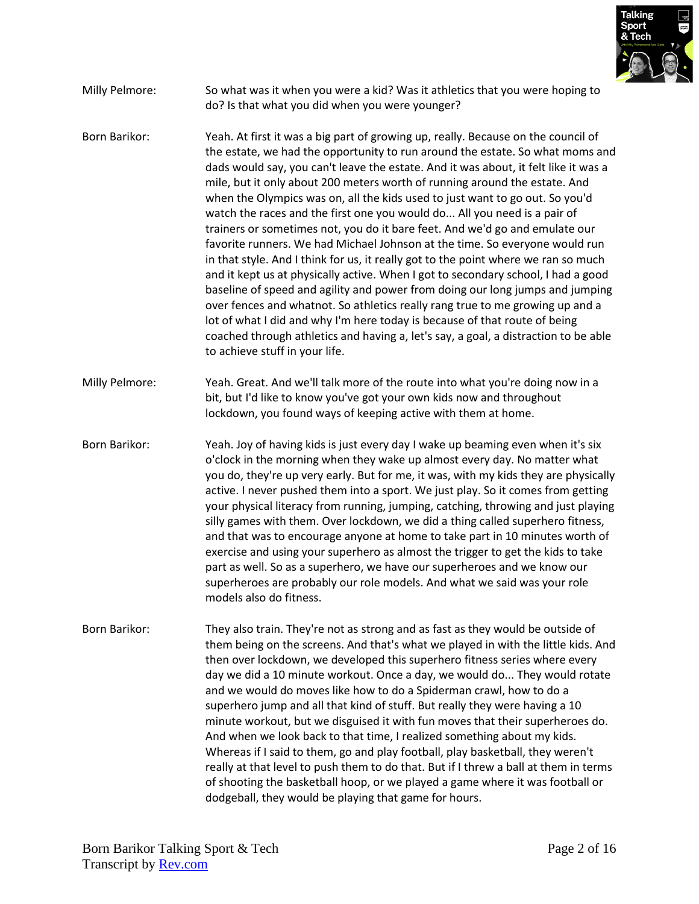

- Milly Pelmore: So what was it when you were a kid? Was it athletics that you were hoping to do? Is that what you did when you were younger?
- Born Barikor: Yeah. At first it was a big part of growing up, really. Because on the council of the estate, we had the opportunity to run around the estate. So what moms and dads would say, you can't leave the estate. And it was about, it felt like it was a mile, but it only about 200 meters worth of running around the estate. And when the Olympics was on, all the kids used to just want to go out. So you'd watch the races and the first one you would do... All you need is a pair of trainers or sometimes not, you do it bare feet. And we'd go and emulate our favorite runners. We had Michael Johnson at the time. So everyone would run in that style. And I think for us, it really got to the point where we ran so much and it kept us at physically active. When I got to secondary school, I had a good baseline of speed and agility and power from doing our long jumps and jumping over fences and whatnot. So athletics really rang true to me growing up and a lot of what I did and why I'm here today is because of that route of being coached through athletics and having a, let's say, a goal, a distraction to be able to achieve stuff in your life.
- Milly Pelmore: Yeah. Great. And we'll talk more of the route into what you're doing now in a bit, but I'd like to know you've got your own kids now and throughout lockdown, you found ways of keeping active with them at home.
- Born Barikor: Yeah. Joy of having kids is just every day I wake up beaming even when it's six o'clock in the morning when they wake up almost every day. No matter what you do, they're up very early. But for me, it was, with my kids they are physically active. I never pushed them into a sport. We just play. So it comes from getting your physical literacy from running, jumping, catching, throwing and just playing silly games with them. Over lockdown, we did a thing called superhero fitness, and that was to encourage anyone at home to take part in 10 minutes worth of exercise and using your superhero as almost the trigger to get the kids to take part as well. So as a superhero, we have our superheroes and we know our superheroes are probably our role models. And what we said was your role models also do fitness.
- Born Barikor: They also train. They're not as strong and as fast as they would be outside of them being on the screens. And that's what we played in with the little kids. And then over lockdown, we developed this superhero fitness series where every day we did a 10 minute workout. Once a day, we would do... They would rotate and we would do moves like how to do a Spiderman crawl, how to do a superhero jump and all that kind of stuff. But really they were having a 10 minute workout, but we disguised it with fun moves that their superheroes do. And when we look back to that time, I realized something about my kids. Whereas if I said to them, go and play football, play basketball, they weren't really at that level to push them to do that. But if I threw a ball at them in terms of shooting the basketball hoop, or we played a game where it was football or dodgeball, they would be playing that game for hours.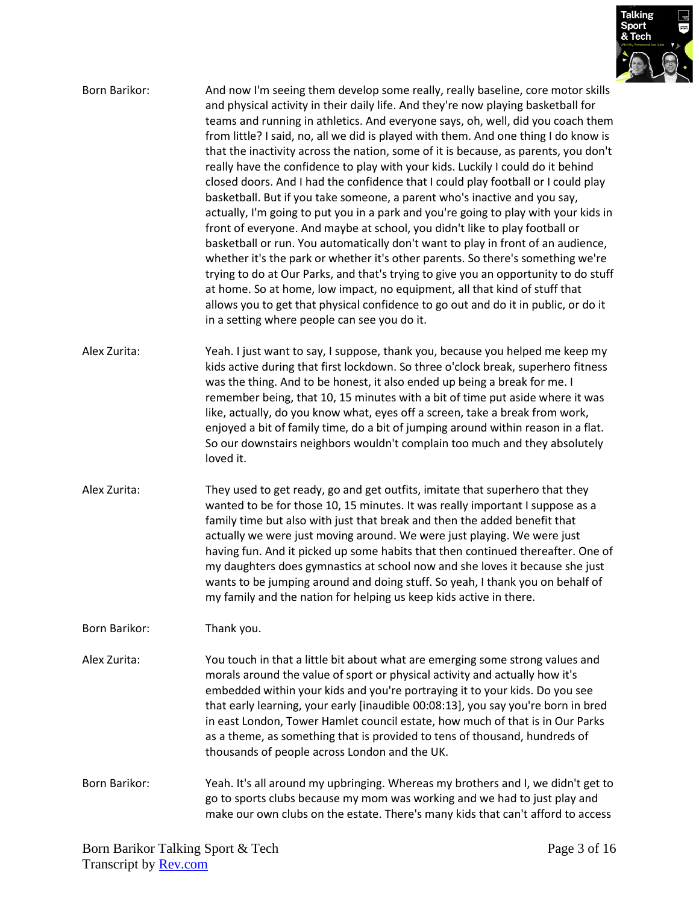

| Born Barikor: | And now I'm seeing them develop some really, really baseline, core motor skills<br>and physical activity in their daily life. And they're now playing basketball for<br>teams and running in athletics. And everyone says, oh, well, did you coach them<br>from little? I said, no, all we did is played with them. And one thing I do know is<br>that the inactivity across the nation, some of it is because, as parents, you don't<br>really have the confidence to play with your kids. Luckily I could do it behind<br>closed doors. And I had the confidence that I could play football or I could play<br>basketball. But if you take someone, a parent who's inactive and you say,<br>actually, I'm going to put you in a park and you're going to play with your kids in<br>front of everyone. And maybe at school, you didn't like to play football or<br>basketball or run. You automatically don't want to play in front of an audience,<br>whether it's the park or whether it's other parents. So there's something we're<br>trying to do at Our Parks, and that's trying to give you an opportunity to do stuff<br>at home. So at home, low impact, no equipment, all that kind of stuff that<br>allows you to get that physical confidence to go out and do it in public, or do it<br>in a setting where people can see you do it. |
|---------------|----------------------------------------------------------------------------------------------------------------------------------------------------------------------------------------------------------------------------------------------------------------------------------------------------------------------------------------------------------------------------------------------------------------------------------------------------------------------------------------------------------------------------------------------------------------------------------------------------------------------------------------------------------------------------------------------------------------------------------------------------------------------------------------------------------------------------------------------------------------------------------------------------------------------------------------------------------------------------------------------------------------------------------------------------------------------------------------------------------------------------------------------------------------------------------------------------------------------------------------------------------------------------------------------------------------------------------------------------|
| Alex Zurita:  | Yeah. I just want to say, I suppose, thank you, because you helped me keep my<br>kids active during that first lockdown. So three o'clock break, superhero fitness<br>was the thing. And to be honest, it also ended up being a break for me. I<br>remember being, that 10, 15 minutes with a bit of time put aside where it was<br>like, actually, do you know what, eyes off a screen, take a break from work,<br>enjoyed a bit of family time, do a bit of jumping around within reason in a flat.<br>So our downstairs neighbors wouldn't complain too much and they absolutely<br>loved it.                                                                                                                                                                                                                                                                                                                                                                                                                                                                                                                                                                                                                                                                                                                                                   |
| Alex Zurita:  | They used to get ready, go and get outfits, imitate that superhero that they<br>wanted to be for those 10, 15 minutes. It was really important I suppose as a<br>family time but also with just that break and then the added benefit that<br>actually we were just moving around. We were just playing. We were just<br>having fun. And it picked up some habits that then continued thereafter. One of<br>my daughters does gymnastics at school now and she loves it because she just<br>wants to be jumping around and doing stuff. So yeah, I thank you on behalf of<br>my family and the nation for helping us keep kids active in there.                                                                                                                                                                                                                                                                                                                                                                                                                                                                                                                                                                                                                                                                                                    |
| Born Barikor: | Thank you.                                                                                                                                                                                                                                                                                                                                                                                                                                                                                                                                                                                                                                                                                                                                                                                                                                                                                                                                                                                                                                                                                                                                                                                                                                                                                                                                         |
| Alex Zurita:  | You touch in that a little bit about what are emerging some strong values and<br>morals around the value of sport or physical activity and actually how it's<br>embedded within your kids and you're portraying it to your kids. Do you see<br>that early learning, your early [inaudible 00:08:13], you say you're born in bred<br>in east London, Tower Hamlet council estate, how much of that is in Our Parks<br>as a theme, as something that is provided to tens of thousand, hundreds of<br>thousands of people across London and the UK.                                                                                                                                                                                                                                                                                                                                                                                                                                                                                                                                                                                                                                                                                                                                                                                                   |
| Born Barikor: | Yeah. It's all around my upbringing. Whereas my brothers and I, we didn't get to<br>go to sports clubs because my mom was working and we had to just play and<br>make our own clubs on the estate. There's many kids that can't afford to access                                                                                                                                                                                                                                                                                                                                                                                                                                                                                                                                                                                                                                                                                                                                                                                                                                                                                                                                                                                                                                                                                                   |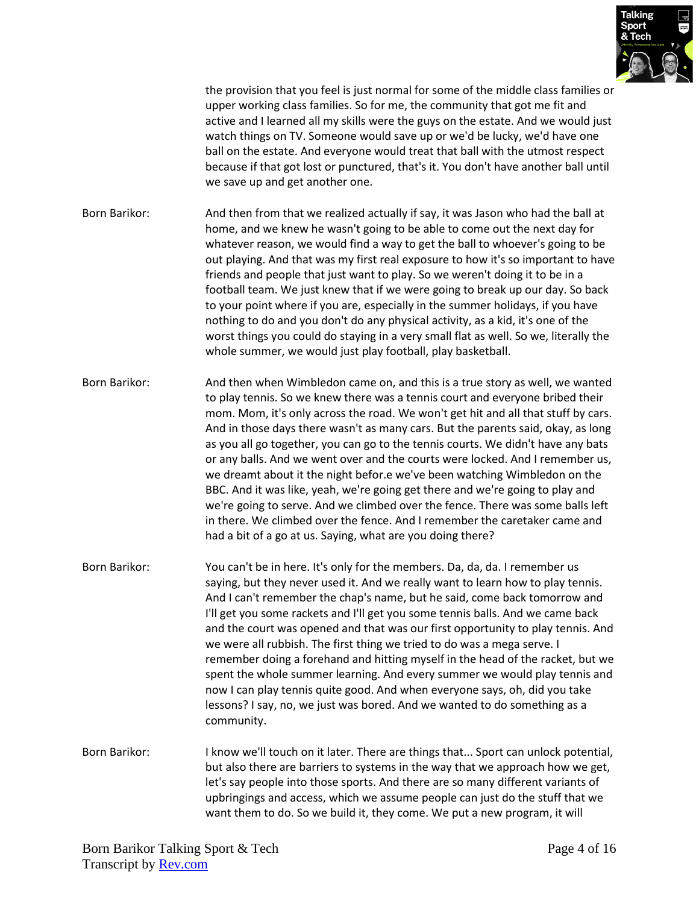

the provision that you feel is just normal for some of the middle class families or upper working class families. So for me, the community that got me fit and active and I learned all my skills were the guys on the estate. And we would just watch things on TV. Someone would save up or we'd be lucky, we'd have one ball on the estate. And everyone would treat that ball with the utmost respect because if that got lost or punctured, that's it. You don't have another ball until we save up and get another one.

Born Barikor: And then from that we realized actually if say, it was Jason who had the ball at home, and we knew he wasn't going to be able to come out the next day for whatever reason, we would find a way to get the ball to whoever's going to be out playing. And that was my first real exposure to how it's so important to have friends and people that just want to play. So we weren't doing it to be in a football team. We just knew that if we were going to break up our day. So back to your point where if you are, especially in the summer holidays, if you have nothing to do and you don't do any physical activity, as a kid, it's one of the worst things you could do staying in a very small flat as well. So we, literally the whole summer, we would just play football, play basketball.

Born Barikor: And then when Wimbledon came on, and this is a true story as well, we wanted to play tennis. So we knew there was a tennis court and everyone bribed their mom. Mom, it's only across the road. We won't get hit and all that stuff by cars. And in those days there wasn't as many cars. But the parents said, okay, as long as you all go together, you can go to the tennis courts. We didn't have any bats or any balls. And we went over and the courts were locked. And I remember us, we dreamt about it the night befor.e we've been watching Wimbledon on the BBC. And it was like, yeah, we're going get there and we're going to play and we're going to serve. And we climbed over the fence. There was some balls left in there. We climbed over the fence. And I remember the caretaker came and had a bit of a go at us. Saying, what are you doing there?

- Born Barikor: You can't be in here. It's only for the members. Da, da, da. I remember us saying, but they never used it. And we really want to learn how to play tennis. And I can't remember the chap's name, but he said, come back tomorrow and I'll get you some rackets and I'll get you some tennis balls. And we came back and the court was opened and that was our first opportunity to play tennis. And we were all rubbish. The first thing we tried to do was a mega serve. I remember doing a forehand and hitting myself in the head of the racket, but we spent the whole summer learning. And every summer we would play tennis and now I can play tennis quite good. And when everyone says, oh, did you take lessons? I say, no, we just was bored. And we wanted to do something as a community.
- Born Barikor: I know we'll touch on it later. There are things that... Sport can unlock potential, but also there are barriers to systems in the way that we approach how we get, let's say people into those sports. And there are so many different variants of upbringings and access, which we assume people can just do the stuff that we want them to do. So we build it, they come. We put a new program, it will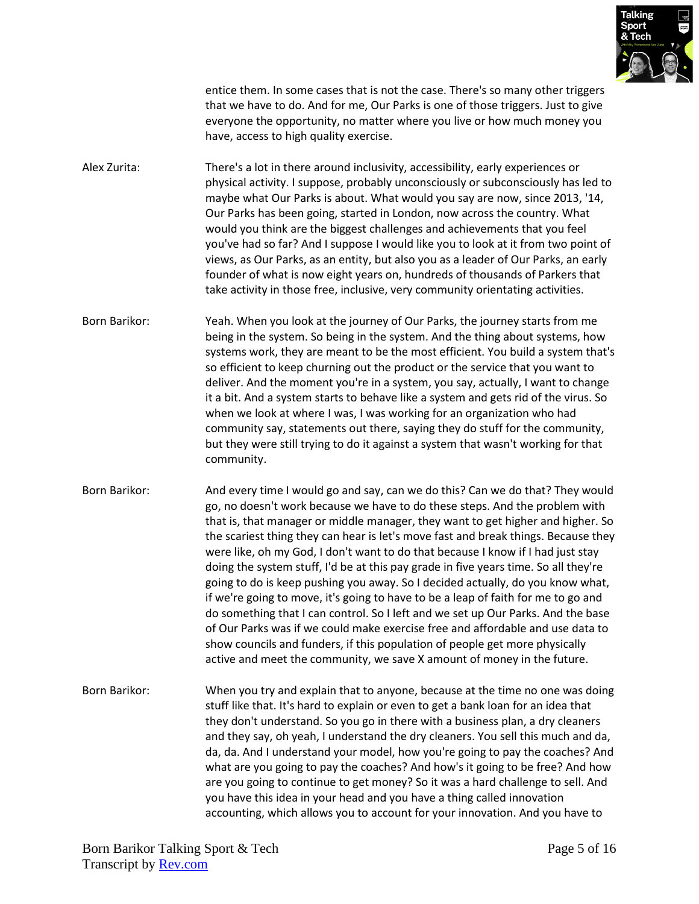

entice them. In some cases that is not the case. There's so many other triggers that we have to do. And for me, Our Parks is one of those triggers. Just to give everyone the opportunity, no matter where you live or how much money you have, access to high quality exercise.

Alex Zurita: There's a lot in there around inclusivity, accessibility, early experiences or physical activity. I suppose, probably unconsciously or subconsciously has led to maybe what Our Parks is about. What would you say are now, since 2013, '14, Our Parks has been going, started in London, now across the country. What would you think are the biggest challenges and achievements that you feel you've had so far? And I suppose I would like you to look at it from two point of views, as Our Parks, as an entity, but also you as a leader of Our Parks, an early founder of what is now eight years on, hundreds of thousands of Parkers that take activity in those free, inclusive, very community orientating activities.

Born Barikor: Yeah. When you look at the journey of Our Parks, the journey starts from me being in the system. So being in the system. And the thing about systems, how systems work, they are meant to be the most efficient. You build a system that's so efficient to keep churning out the product or the service that you want to deliver. And the moment you're in a system, you say, actually, I want to change it a bit. And a system starts to behave like a system and gets rid of the virus. So when we look at where I was, I was working for an organization who had community say, statements out there, saying they do stuff for the community, but they were still trying to do it against a system that wasn't working for that community.

Born Barikor: And every time I would go and say, can we do this? Can we do that? They would go, no doesn't work because we have to do these steps. And the problem with that is, that manager or middle manager, they want to get higher and higher. So the scariest thing they can hear is let's move fast and break things. Because they were like, oh my God, I don't want to do that because I know if I had just stay doing the system stuff, I'd be at this pay grade in five years time. So all they're going to do is keep pushing you away. So I decided actually, do you know what, if we're going to move, it's going to have to be a leap of faith for me to go and do something that I can control. So I left and we set up Our Parks. And the base of Our Parks was if we could make exercise free and affordable and use data to show councils and funders, if this population of people get more physically active and meet the community, we save X amount of money in the future.

Born Barikor: When you try and explain that to anyone, because at the time no one was doing stuff like that. It's hard to explain or even to get a bank loan for an idea that they don't understand. So you go in there with a business plan, a dry cleaners and they say, oh yeah, I understand the dry cleaners. You sell this much and da, da, da. And I understand your model, how you're going to pay the coaches? And what are you going to pay the coaches? And how's it going to be free? And how are you going to continue to get money? So it was a hard challenge to sell. And you have this idea in your head and you have a thing called innovation accounting, which allows you to account for your innovation. And you have to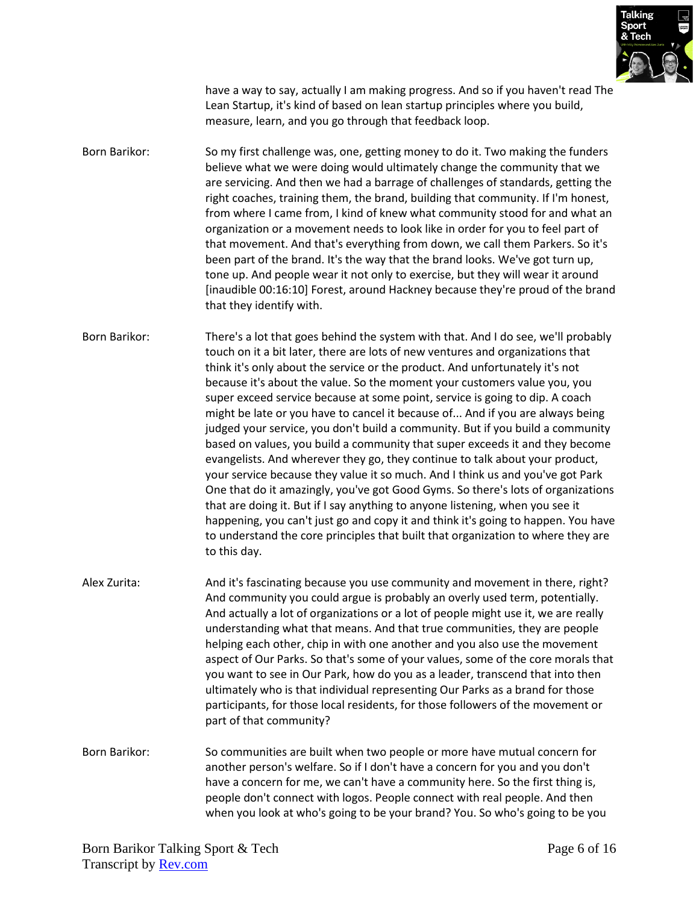

have a way to say, actually I am making progress. And so if you haven't read The Lean Startup, it's kind of based on lean startup principles where you build, measure, learn, and you go through that feedback loop.

Born Barikor: So my first challenge was, one, getting money to do it. Two making the funders believe what we were doing would ultimately change the community that we are servicing. And then we had a barrage of challenges of standards, getting the right coaches, training them, the brand, building that community. If I'm honest, from where I came from, I kind of knew what community stood for and what an organization or a movement needs to look like in order for you to feel part of that movement. And that's everything from down, we call them Parkers. So it's been part of the brand. It's the way that the brand looks. We've got turn up, tone up. And people wear it not only to exercise, but they will wear it around [inaudible 00:16:10] Forest, around Hackney because they're proud of the brand that they identify with.

Born Barikor: There's a lot that goes behind the system with that. And I do see, we'll probably touch on it a bit later, there are lots of new ventures and organizations that think it's only about the service or the product. And unfortunately it's not because it's about the value. So the moment your customers value you, you super exceed service because at some point, service is going to dip. A coach might be late or you have to cancel it because of... And if you are always being judged your service, you don't build a community. But if you build a community based on values, you build a community that super exceeds it and they become evangelists. And wherever they go, they continue to talk about your product, your service because they value it so much. And I think us and you've got Park One that do it amazingly, you've got Good Gyms. So there's lots of organizations that are doing it. But if I say anything to anyone listening, when you see it happening, you can't just go and copy it and think it's going to happen. You have to understand the core principles that built that organization to where they are to this day.

- Alex Zurita: And it's fascinating because you use community and movement in there, right? And community you could argue is probably an overly used term, potentially. And actually a lot of organizations or a lot of people might use it, we are really understanding what that means. And that true communities, they are people helping each other, chip in with one another and you also use the movement aspect of Our Parks. So that's some of your values, some of the core morals that you want to see in Our Park, how do you as a leader, transcend that into then ultimately who is that individual representing Our Parks as a brand for those participants, for those local residents, for those followers of the movement or part of that community?
- Born Barikor: So communities are built when two people or more have mutual concern for another person's welfare. So if I don't have a concern for you and you don't have a concern for me, we can't have a community here. So the first thing is, people don't connect with logos. People connect with real people. And then when you look at who's going to be your brand? You. So who's going to be you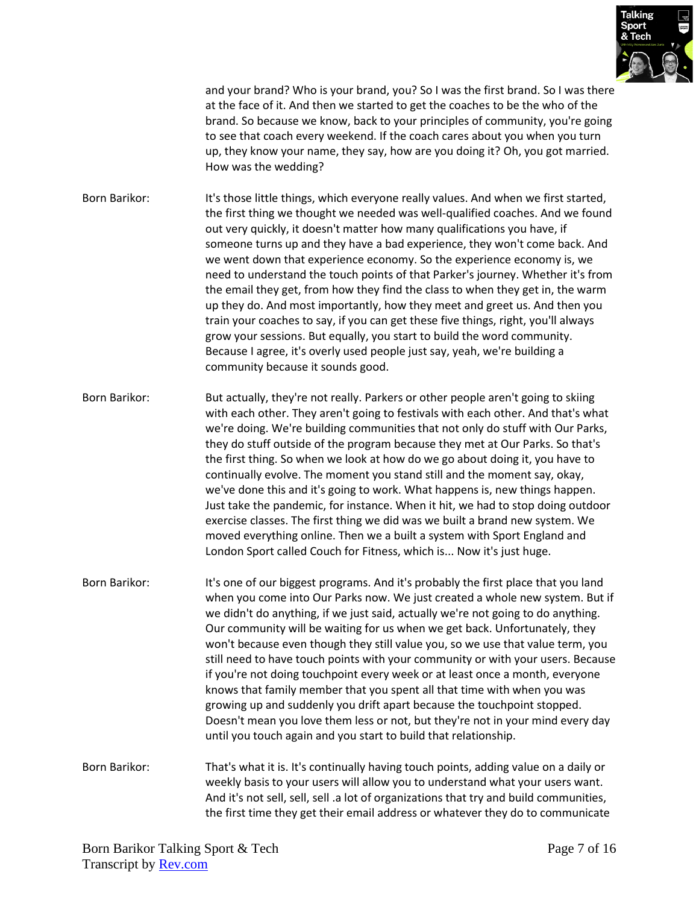

and your brand? Who is your brand, you? So I was the first brand. So I was there at the face of it. And then we started to get the coaches to be the who of the brand. So because we know, back to your principles of community, you're going to see that coach every weekend. If the coach cares about you when you turn up, they know your name, they say, how are you doing it? Oh, you got married. How was the wedding?

Born Barikor: It's those little things, which everyone really values. And when we first started, the first thing we thought we needed was well-qualified coaches. And we found out very quickly, it doesn't matter how many qualifications you have, if someone turns up and they have a bad experience, they won't come back. And we went down that experience economy. So the experience economy is, we need to understand the touch points of that Parker's journey. Whether it's from the email they get, from how they find the class to when they get in, the warm up they do. And most importantly, how they meet and greet us. And then you train your coaches to say, if you can get these five things, right, you'll always grow your sessions. But equally, you start to build the word community. Because I agree, it's overly used people just say, yeah, we're building a community because it sounds good.

Born Barikor: But actually, they're not really. Parkers or other people aren't going to skiing with each other. They aren't going to festivals with each other. And that's what we're doing. We're building communities that not only do stuff with Our Parks, they do stuff outside of the program because they met at Our Parks. So that's the first thing. So when we look at how do we go about doing it, you have to continually evolve. The moment you stand still and the moment say, okay, we've done this and it's going to work. What happens is, new things happen. Just take the pandemic, for instance. When it hit, we had to stop doing outdoor exercise classes. The first thing we did was we built a brand new system. We moved everything online. Then we a built a system with Sport England and London Sport called Couch for Fitness, which is... Now it's just huge.

Born Barikor: It's one of our biggest programs. And it's probably the first place that you land when you come into Our Parks now. We just created a whole new system. But if we didn't do anything, if we just said, actually we're not going to do anything. Our community will be waiting for us when we get back. Unfortunately, they won't because even though they still value you, so we use that value term, you still need to have touch points with your community or with your users. Because if you're not doing touchpoint every week or at least once a month, everyone knows that family member that you spent all that time with when you was growing up and suddenly you drift apart because the touchpoint stopped. Doesn't mean you love them less or not, but they're not in your mind every day until you touch again and you start to build that relationship.

Born Barikor: That's what it is. It's continually having touch points, adding value on a daily or weekly basis to your users will allow you to understand what your users want. And it's not sell, sell, sell a lot of organizations that try and build communities, the first time they get their email address or whatever they do to communicate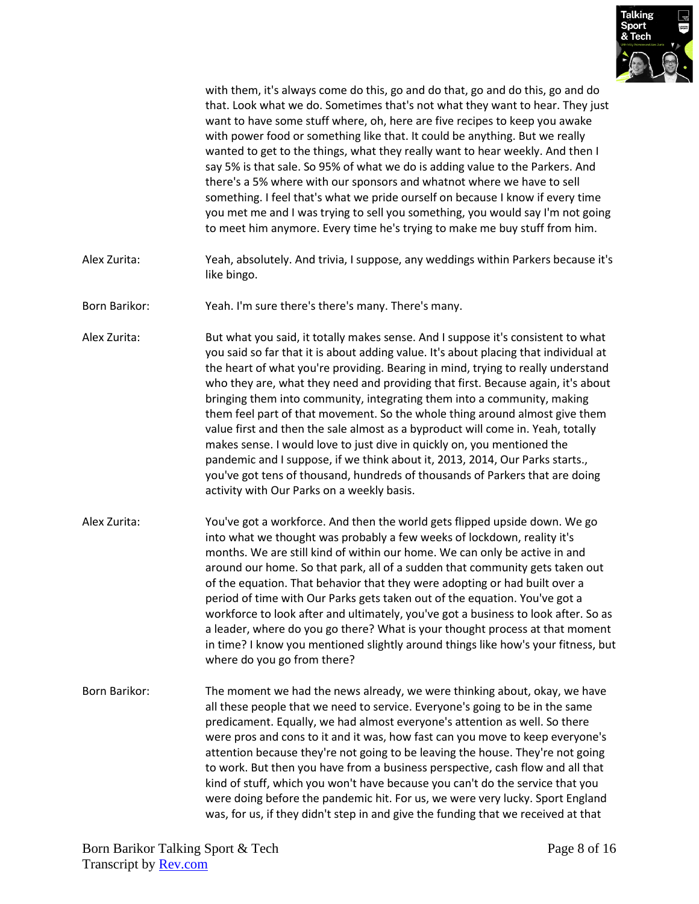

with them, it's always come do this, go and do that, go and do this, go and do that. Look what we do. Sometimes that's not what they want to hear. They just want to have some stuff where, oh, here are five recipes to keep you awake with power food or something like that. It could be anything. But we really wanted to get to the things, what they really want to hear weekly. And then I say 5% is that sale. So 95% of what we do is adding value to the Parkers. And there's a 5% where with our sponsors and whatnot where we have to sell something. I feel that's what we pride ourself on because I know if every time you met me and I was trying to sell you something, you would say I'm not going to meet him anymore. Every time he's trying to make me buy stuff from him.

- Alex Zurita: Yeah, absolutely. And trivia, I suppose, any weddings within Parkers because it's like bingo.
- Born Barikor: Yeah. I'm sure there's there's many. There's many.
- Alex Zurita: But what you said, it totally makes sense. And I suppose it's consistent to what you said so far that it is about adding value. It's about placing that individual at the heart of what you're providing. Bearing in mind, trying to really understand who they are, what they need and providing that first. Because again, it's about bringing them into community, integrating them into a community, making them feel part of that movement. So the whole thing around almost give them value first and then the sale almost as a byproduct will come in. Yeah, totally makes sense. I would love to just dive in quickly on, you mentioned the pandemic and I suppose, if we think about it, 2013, 2014, Our Parks starts., you've got tens of thousand, hundreds of thousands of Parkers that are doing activity with Our Parks on a weekly basis.
- Alex Zurita: You've got a workforce. And then the world gets flipped upside down. We go into what we thought was probably a few weeks of lockdown, reality it's months. We are still kind of within our home. We can only be active in and around our home. So that park, all of a sudden that community gets taken out of the equation. That behavior that they were adopting or had built over a period of time with Our Parks gets taken out of the equation. You've got a workforce to look after and ultimately, you've got a business to look after. So as a leader, where do you go there? What is your thought process at that moment in time? I know you mentioned slightly around things like how's your fitness, but where do you go from there?
- Born Barikor: The moment we had the news already, we were thinking about, okay, we have all these people that we need to service. Everyone's going to be in the same predicament. Equally, we had almost everyone's attention as well. So there were pros and cons to it and it was, how fast can you move to keep everyone's attention because they're not going to be leaving the house. They're not going to work. But then you have from a business perspective, cash flow and all that kind of stuff, which you won't have because you can't do the service that you were doing before the pandemic hit. For us, we were very lucky. Sport England was, for us, if they didn't step in and give the funding that we received at that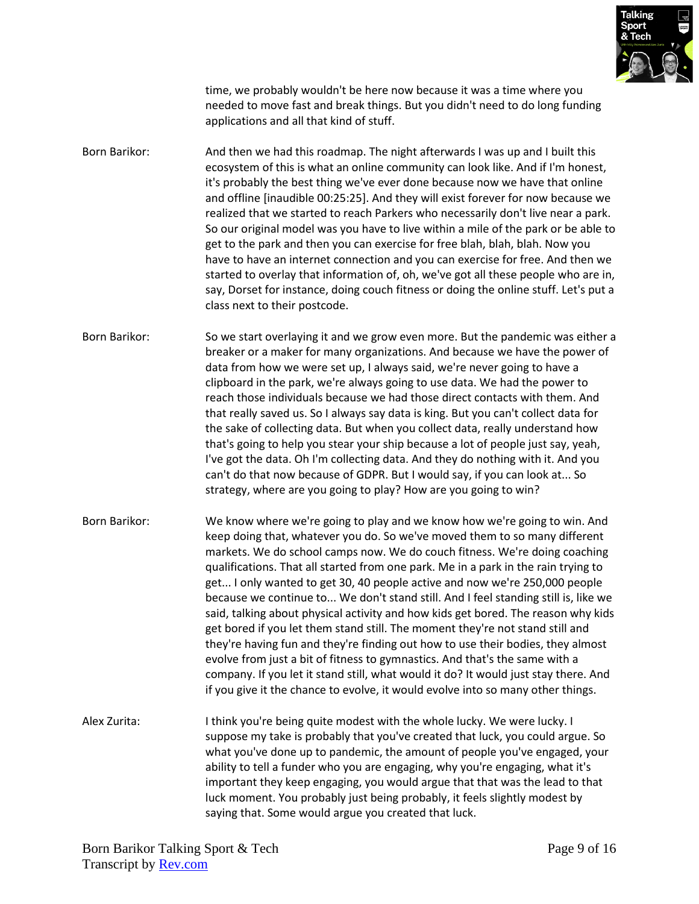

time, we probably wouldn't be here now because it was a time where you needed to move fast and break things. But you didn't need to do long funding applications and all that kind of stuff.

Born Barikor: And then we had this roadmap. The night afterwards I was up and I built this ecosystem of this is what an online community can look like. And if I'm honest, it's probably the best thing we've ever done because now we have that online and offline [inaudible 00:25:25]. And they will exist forever for now because we realized that we started to reach Parkers who necessarily don't live near a park. So our original model was you have to live within a mile of the park or be able to get to the park and then you can exercise for free blah, blah, blah. Now you have to have an internet connection and you can exercise for free. And then we started to overlay that information of, oh, we've got all these people who are in, say, Dorset for instance, doing couch fitness or doing the online stuff. Let's put a class next to their postcode.

- Born Barikor: So we start overlaying it and we grow even more. But the pandemic was either a breaker or a maker for many organizations. And because we have the power of data from how we were set up, I always said, we're never going to have a clipboard in the park, we're always going to use data. We had the power to reach those individuals because we had those direct contacts with them. And that really saved us. So I always say data is king. But you can't collect data for the sake of collecting data. But when you collect data, really understand how that's going to help you stear your ship because a lot of people just say, yeah, I've got the data. Oh I'm collecting data. And they do nothing with it. And you can't do that now because of GDPR. But I would say, if you can look at... So strategy, where are you going to play? How are you going to win?
- Born Barikor: We know where we're going to play and we know how we're going to win. And keep doing that, whatever you do. So we've moved them to so many different markets. We do school camps now. We do couch fitness. We're doing coaching qualifications. That all started from one park. Me in a park in the rain trying to get... I only wanted to get 30, 40 people active and now we're 250,000 people because we continue to... We don't stand still. And I feel standing still is, like we said, talking about physical activity and how kids get bored. The reason why kids get bored if you let them stand still. The moment they're not stand still and they're having fun and they're finding out how to use their bodies, they almost evolve from just a bit of fitness to gymnastics. And that's the same with a company. If you let it stand still, what would it do? It would just stay there. And if you give it the chance to evolve, it would evolve into so many other things.
- Alex Zurita: I think you're being quite modest with the whole lucky. We were lucky. I suppose my take is probably that you've created that luck, you could argue. So what you've done up to pandemic, the amount of people you've engaged, your ability to tell a funder who you are engaging, why you're engaging, what it's important they keep engaging, you would argue that that was the lead to that luck moment. You probably just being probably, it feels slightly modest by saying that. Some would argue you created that luck.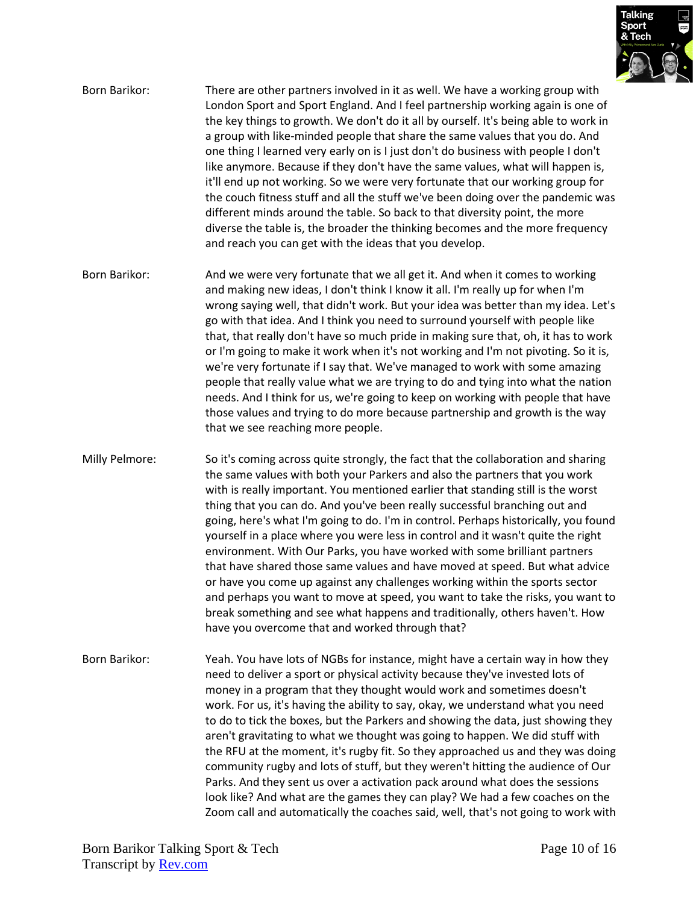

- Born Barikor: There are other partners involved in it as well. We have a working group with London Sport and Sport England. And I feel partnership working again is one of the key things to growth. We don't do it all by ourself. It's being able to work in a group with like-minded people that share the same values that you do. And one thing I learned very early on is I just don't do business with people I don't like anymore. Because if they don't have the same values, what will happen is, it'll end up not working. So we were very fortunate that our working group for the couch fitness stuff and all the stuff we've been doing over the pandemic was different minds around the table. So back to that diversity point, the more diverse the table is, the broader the thinking becomes and the more frequency and reach you can get with the ideas that you develop.
- Born Barikor: And we were very fortunate that we all get it. And when it comes to working and making new ideas, I don't think I know it all. I'm really up for when I'm wrong saying well, that didn't work. But your idea was better than my idea. Let's go with that idea. And I think you need to surround yourself with people like that, that really don't have so much pride in making sure that, oh, it has to work or I'm going to make it work when it's not working and I'm not pivoting. So it is, we're very fortunate if I say that. We've managed to work with some amazing people that really value what we are trying to do and tying into what the nation needs. And I think for us, we're going to keep on working with people that have those values and trying to do more because partnership and growth is the way that we see reaching more people.
- Milly Pelmore: So it's coming across quite strongly, the fact that the collaboration and sharing the same values with both your Parkers and also the partners that you work with is really important. You mentioned earlier that standing still is the worst thing that you can do. And you've been really successful branching out and going, here's what I'm going to do. I'm in control. Perhaps historically, you found yourself in a place where you were less in control and it wasn't quite the right environment. With Our Parks, you have worked with some brilliant partners that have shared those same values and have moved at speed. But what advice or have you come up against any challenges working within the sports sector and perhaps you want to move at speed, you want to take the risks, you want to break something and see what happens and traditionally, others haven't. How have you overcome that and worked through that?
- Born Barikor: Yeah. You have lots of NGBs for instance, might have a certain way in how they need to deliver a sport or physical activity because they've invested lots of money in a program that they thought would work and sometimes doesn't work. For us, it's having the ability to say, okay, we understand what you need to do to tick the boxes, but the Parkers and showing the data, just showing they aren't gravitating to what we thought was going to happen. We did stuff with the RFU at the moment, it's rugby fit. So they approached us and they was doing community rugby and lots of stuff, but they weren't hitting the audience of Our Parks. And they sent us over a activation pack around what does the sessions look like? And what are the games they can play? We had a few coaches on the Zoom call and automatically the coaches said, well, that's not going to work with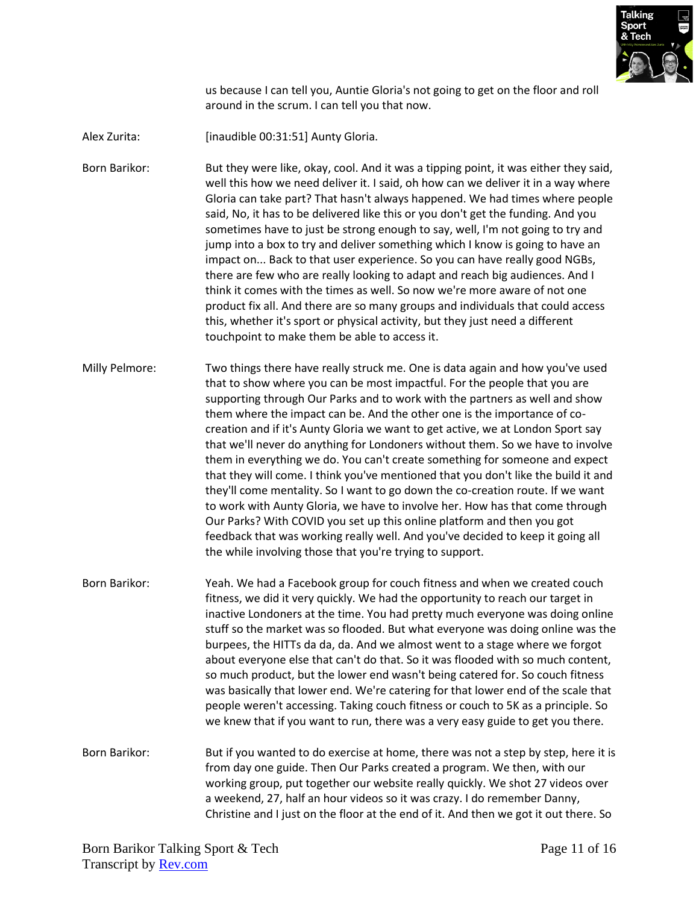

us because I can tell you, Auntie Gloria's not going to get on the floor and roll around in the scrum. I can tell you that now.

Alex Zurita: [inaudible 00:31:51] Aunty Gloria.

Born Barikor: But they were like, okay, cool. And it was a tipping point, it was either they said, well this how we need deliver it. I said, oh how can we deliver it in a way where Gloria can take part? That hasn't always happened. We had times where people said, No, it has to be delivered like this or you don't get the funding. And you sometimes have to just be strong enough to say, well, I'm not going to try and jump into a box to try and deliver something which I know is going to have an impact on... Back to that user experience. So you can have really good NGBs, there are few who are really looking to adapt and reach big audiences. And I think it comes with the times as well. So now we're more aware of not one product fix all. And there are so many groups and individuals that could access this, whether it's sport or physical activity, but they just need a different touchpoint to make them be able to access it.

- Milly Pelmore: Two things there have really struck me. One is data again and how you've used that to show where you can be most impactful. For the people that you are supporting through Our Parks and to work with the partners as well and show them where the impact can be. And the other one is the importance of cocreation and if it's Aunty Gloria we want to get active, we at London Sport say that we'll never do anything for Londoners without them. So we have to involve them in everything we do. You can't create something for someone and expect that they will come. I think you've mentioned that you don't like the build it and they'll come mentality. So I want to go down the co-creation route. If we want to work with Aunty Gloria, we have to involve her. How has that come through Our Parks? With COVID you set up this online platform and then you got feedback that was working really well. And you've decided to keep it going all the while involving those that you're trying to support.
- Born Barikor: Yeah. We had a Facebook group for couch fitness and when we created couch fitness, we did it very quickly. We had the opportunity to reach our target in inactive Londoners at the time. You had pretty much everyone was doing online stuff so the market was so flooded. But what everyone was doing online was the burpees, the HITTs da da, da. And we almost went to a stage where we forgot about everyone else that can't do that. So it was flooded with so much content, so much product, but the lower end wasn't being catered for. So couch fitness was basically that lower end. We're catering for that lower end of the scale that people weren't accessing. Taking couch fitness or couch to 5K as a principle. So we knew that if you want to run, there was a very easy guide to get you there.
- Born Barikor: But if you wanted to do exercise at home, there was not a step by step, here it is from day one guide. Then Our Parks created a program. We then, with our working group, put together our website really quickly. We shot 27 videos over a weekend, 27, half an hour videos so it was crazy. I do remember Danny, Christine and I just on the floor at the end of it. And then we got it out there. So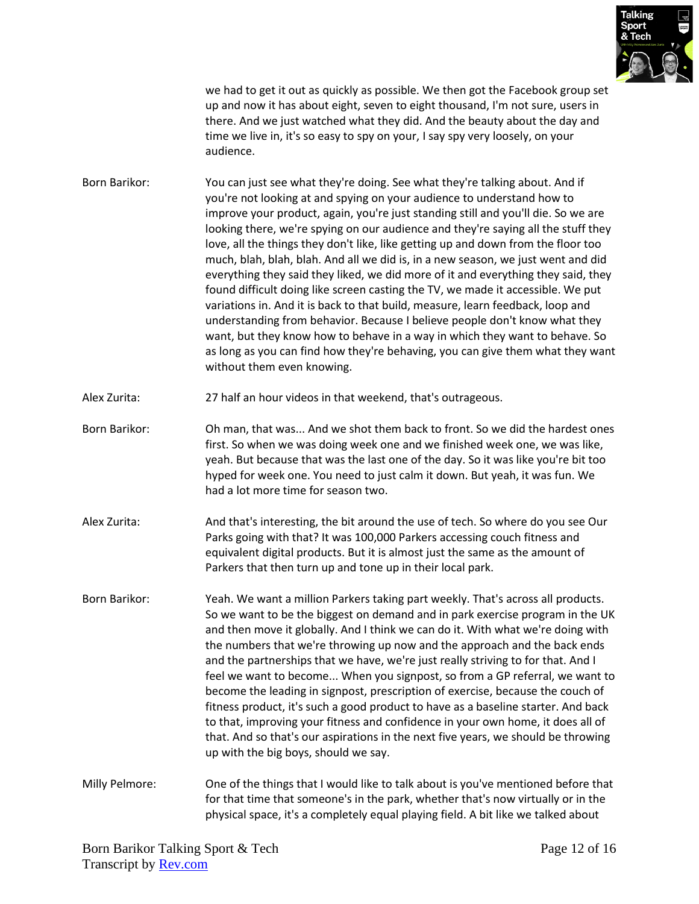

we had to get it out as quickly as possible. We then got the Facebook group set up and now it has about eight, seven to eight thousand, I'm not sure, users in there. And we just watched what they did. And the beauty about the day and time we live in, it's so easy to spy on your, I say spy very loosely, on your audience.

- Born Barikor: You can just see what they're doing. See what they're talking about. And if you're not looking at and spying on your audience to understand how to improve your product, again, you're just standing still and you'll die. So we are looking there, we're spying on our audience and they're saying all the stuff they love, all the things they don't like, like getting up and down from the floor too much, blah, blah, blah. And all we did is, in a new season, we just went and did everything they said they liked, we did more of it and everything they said, they found difficult doing like screen casting the TV, we made it accessible. We put variations in. And it is back to that build, measure, learn feedback, loop and understanding from behavior. Because I believe people don't know what they want, but they know how to behave in a way in which they want to behave. So as long as you can find how they're behaving, you can give them what they want without them even knowing.
- Alex Zurita: 27 half an hour videos in that weekend, that's outrageous.
- Born Barikor: Oh man, that was... And we shot them back to front. So we did the hardest ones first. So when we was doing week one and we finished week one, we was like, yeah. But because that was the last one of the day. So it was like you're bit too hyped for week one. You need to just calm it down. But yeah, it was fun. We had a lot more time for season two.
- Alex Zurita: And that's interesting, the bit around the use of tech. So where do you see Our Parks going with that? It was 100,000 Parkers accessing couch fitness and equivalent digital products. But it is almost just the same as the amount of Parkers that then turn up and tone up in their local park.
- Born Barikor: Yeah. We want a million Parkers taking part weekly. That's across all products. So we want to be the biggest on demand and in park exercise program in the UK and then move it globally. And I think we can do it. With what we're doing with the numbers that we're throwing up now and the approach and the back ends and the partnerships that we have, we're just really striving to for that. And I feel we want to become... When you signpost, so from a GP referral, we want to become the leading in signpost, prescription of exercise, because the couch of fitness product, it's such a good product to have as a baseline starter. And back to that, improving your fitness and confidence in your own home, it does all of that. And so that's our aspirations in the next five years, we should be throwing up with the big boys, should we say.
- Milly Pelmore: One of the things that I would like to talk about is you've mentioned before that for that time that someone's in the park, whether that's now virtually or in the physical space, it's a completely equal playing field. A bit like we talked about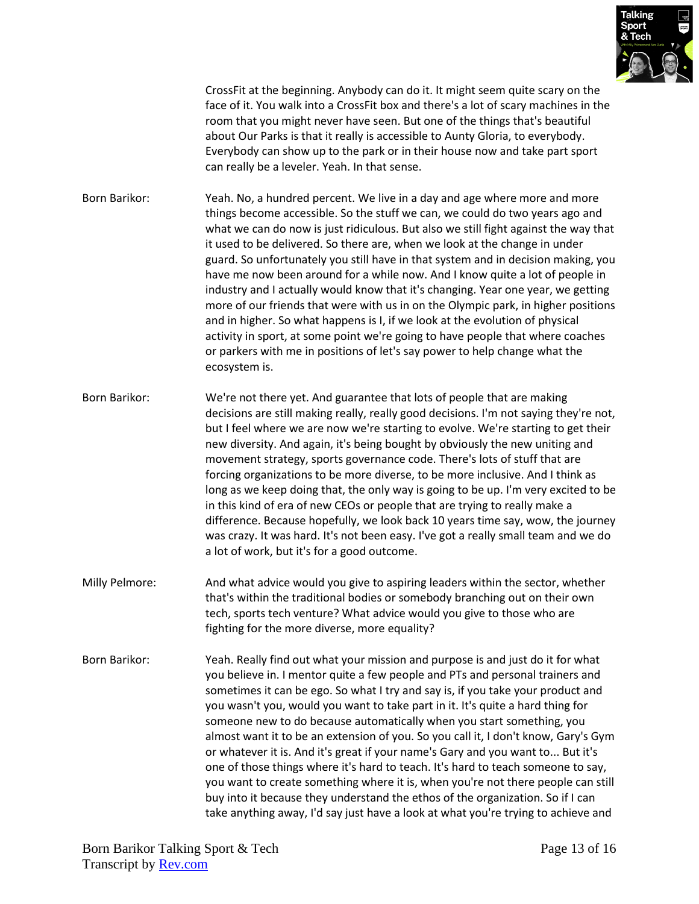

CrossFit at the beginning. Anybody can do it. It might seem quite scary on the face of it. You walk into a CrossFit box and there's a lot of scary machines in the room that you might never have seen. But one of the things that's beautiful about Our Parks is that it really is accessible to Aunty Gloria, to everybody. Everybody can show up to the park or in their house now and take part sport can really be a leveler. Yeah. In that sense.

Born Barikor: Yeah. No, a hundred percent. We live in a day and age where more and more things become accessible. So the stuff we can, we could do two years ago and what we can do now is just ridiculous. But also we still fight against the way that it used to be delivered. So there are, when we look at the change in under guard. So unfortunately you still have in that system and in decision making, you have me now been around for a while now. And I know quite a lot of people in industry and I actually would know that it's changing. Year one year, we getting more of our friends that were with us in on the Olympic park, in higher positions and in higher. So what happens is I, if we look at the evolution of physical activity in sport, at some point we're going to have people that where coaches or parkers with me in positions of let's say power to help change what the ecosystem is.

Born Barikor: We're not there yet. And guarantee that lots of people that are making decisions are still making really, really good decisions. I'm not saying they're not, but I feel where we are now we're starting to evolve. We're starting to get their new diversity. And again, it's being bought by obviously the new uniting and movement strategy, sports governance code. There's lots of stuff that are forcing organizations to be more diverse, to be more inclusive. And I think as long as we keep doing that, the only way is going to be up. I'm very excited to be in this kind of era of new CEOs or people that are trying to really make a difference. Because hopefully, we look back 10 years time say, wow, the journey was crazy. It was hard. It's not been easy. I've got a really small team and we do a lot of work, but it's for a good outcome.

- Milly Pelmore: And what advice would you give to aspiring leaders within the sector, whether that's within the traditional bodies or somebody branching out on their own tech, sports tech venture? What advice would you give to those who are fighting for the more diverse, more equality?
- Born Barikor: Yeah. Really find out what your mission and purpose is and just do it for what you believe in. I mentor quite a few people and PTs and personal trainers and sometimes it can be ego. So what I try and say is, if you take your product and you wasn't you, would you want to take part in it. It's quite a hard thing for someone new to do because automatically when you start something, you almost want it to be an extension of you. So you call it, I don't know, Gary's Gym or whatever it is. And it's great if your name's Gary and you want to... But it's one of those things where it's hard to teach. It's hard to teach someone to say, you want to create something where it is, when you're not there people can still buy into it because they understand the ethos of the organization. So if I can take anything away, I'd say just have a look at what you're trying to achieve and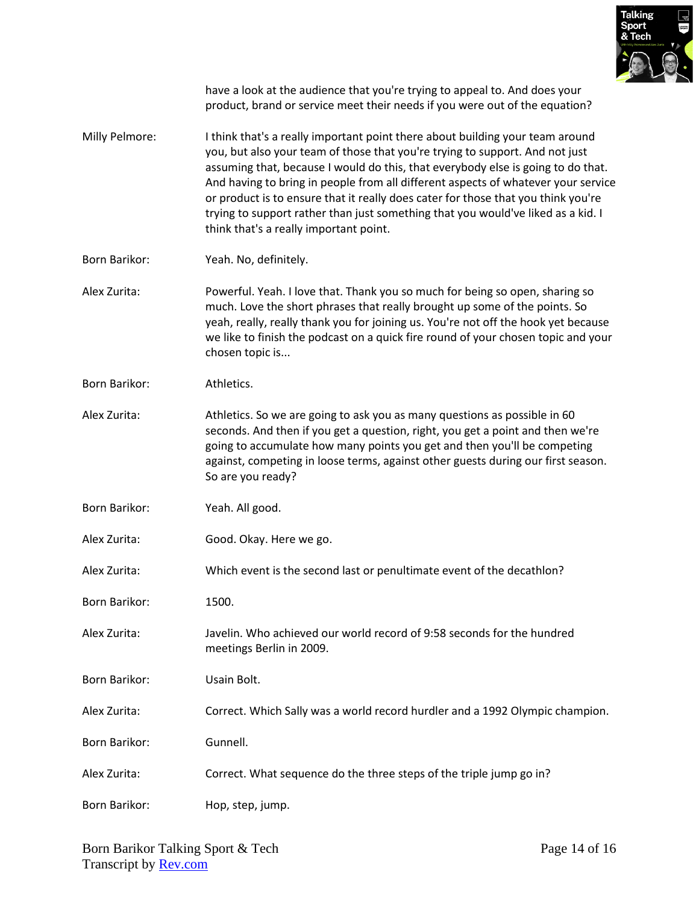

have a look at the audience that you're trying to appeal to. And does your product, brand or service meet their needs if you were out of the equation?

- Milly Pelmore: I think that's a really important point there about building your team around you, but also your team of those that you're trying to support. And not just assuming that, because I would do this, that everybody else is going to do that. And having to bring in people from all different aspects of whatever your service or product is to ensure that it really does cater for those that you think you're trying to support rather than just something that you would've liked as a kid. I think that's a really important point.
- Born Barikor: Yeah. No, definitely.
- Alex Zurita: Powerful. Yeah. I love that. Thank you so much for being so open, sharing so much. Love the short phrases that really brought up some of the points. So yeah, really, really thank you for joining us. You're not off the hook yet because we like to finish the podcast on a quick fire round of your chosen topic and your chosen topic is...
- Born Barikor: Athletics.
- Alex Zurita: Athletics. So we are going to ask you as many questions as possible in 60 seconds. And then if you get a question, right, you get a point and then we're going to accumulate how many points you get and then you'll be competing against, competing in loose terms, against other guests during our first season. So are you ready?
- Born Barikor: Yeah. All good.
- Alex Zurita: Good. Okay. Here we go.
- Alex Zurita: Which event is the second last or penultimate event of the decathlon?
- Born Barikor: 1500.
- Alex Zurita: Javelin. Who achieved our world record of 9:58 seconds for the hundred meetings Berlin in 2009.
- Born Barikor: Usain Bolt.
- Alex Zurita: Correct. Which Sally was a world record hurdler and a 1992 Olympic champion.
- Born Barikor: Gunnell.
- Alex Zurita: Correct. What sequence do the three steps of the triple jump go in?
- Born Barikor: Hop, step, jump.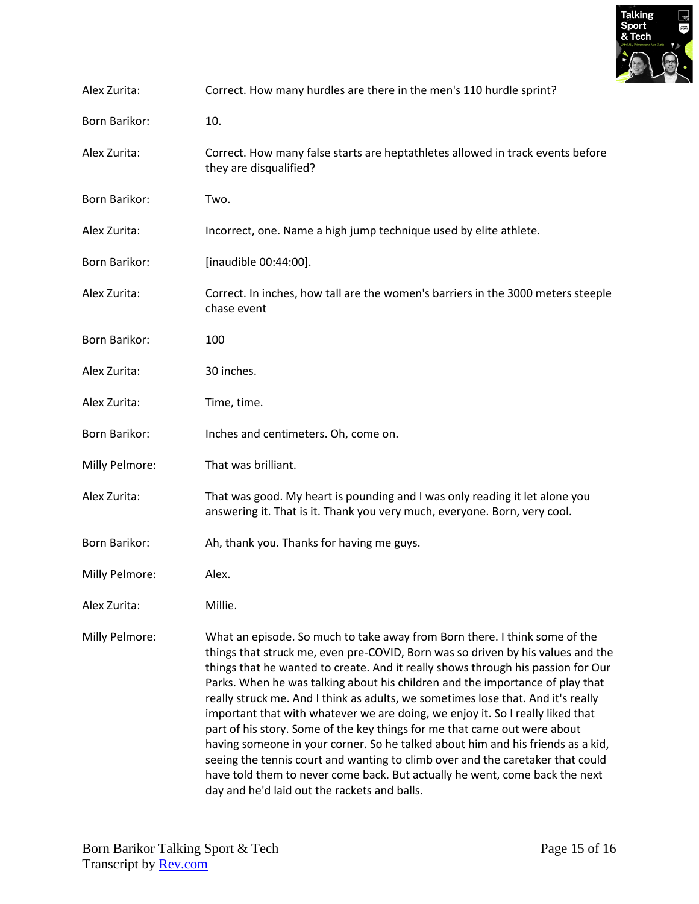

| Alex Zurita:         | Correct. How many hurdles are there in the men's 110 hurdle sprint?                                                                                                                                                                                                                                                                                                                                                                                                                                                                                                                                                                                                                                                                                                                                                                                                                       |
|----------------------|-------------------------------------------------------------------------------------------------------------------------------------------------------------------------------------------------------------------------------------------------------------------------------------------------------------------------------------------------------------------------------------------------------------------------------------------------------------------------------------------------------------------------------------------------------------------------------------------------------------------------------------------------------------------------------------------------------------------------------------------------------------------------------------------------------------------------------------------------------------------------------------------|
| Born Barikor:        | 10.                                                                                                                                                                                                                                                                                                                                                                                                                                                                                                                                                                                                                                                                                                                                                                                                                                                                                       |
| Alex Zurita:         | Correct. How many false starts are heptathletes allowed in track events before<br>they are disqualified?                                                                                                                                                                                                                                                                                                                                                                                                                                                                                                                                                                                                                                                                                                                                                                                  |
| Born Barikor:        | Two.                                                                                                                                                                                                                                                                                                                                                                                                                                                                                                                                                                                                                                                                                                                                                                                                                                                                                      |
| Alex Zurita:         | Incorrect, one. Name a high jump technique used by elite athlete.                                                                                                                                                                                                                                                                                                                                                                                                                                                                                                                                                                                                                                                                                                                                                                                                                         |
| Born Barikor:        | [inaudible 00:44:00].                                                                                                                                                                                                                                                                                                                                                                                                                                                                                                                                                                                                                                                                                                                                                                                                                                                                     |
| Alex Zurita:         | Correct. In inches, how tall are the women's barriers in the 3000 meters steeple<br>chase event                                                                                                                                                                                                                                                                                                                                                                                                                                                                                                                                                                                                                                                                                                                                                                                           |
| <b>Born Barikor:</b> | 100                                                                                                                                                                                                                                                                                                                                                                                                                                                                                                                                                                                                                                                                                                                                                                                                                                                                                       |
| Alex Zurita:         | 30 inches.                                                                                                                                                                                                                                                                                                                                                                                                                                                                                                                                                                                                                                                                                                                                                                                                                                                                                |
| Alex Zurita:         | Time, time.                                                                                                                                                                                                                                                                                                                                                                                                                                                                                                                                                                                                                                                                                                                                                                                                                                                                               |
| Born Barikor:        | Inches and centimeters. Oh, come on.                                                                                                                                                                                                                                                                                                                                                                                                                                                                                                                                                                                                                                                                                                                                                                                                                                                      |
| Milly Pelmore:       | That was brilliant.                                                                                                                                                                                                                                                                                                                                                                                                                                                                                                                                                                                                                                                                                                                                                                                                                                                                       |
| Alex Zurita:         | That was good. My heart is pounding and I was only reading it let alone you<br>answering it. That is it. Thank you very much, everyone. Born, very cool.                                                                                                                                                                                                                                                                                                                                                                                                                                                                                                                                                                                                                                                                                                                                  |
| Born Barikor:        | Ah, thank you. Thanks for having me guys.                                                                                                                                                                                                                                                                                                                                                                                                                                                                                                                                                                                                                                                                                                                                                                                                                                                 |
| Milly Pelmore:       | Alex.                                                                                                                                                                                                                                                                                                                                                                                                                                                                                                                                                                                                                                                                                                                                                                                                                                                                                     |
| Alex Zurita:         | Millie.                                                                                                                                                                                                                                                                                                                                                                                                                                                                                                                                                                                                                                                                                                                                                                                                                                                                                   |
| Milly Pelmore:       | What an episode. So much to take away from Born there. I think some of the<br>things that struck me, even pre-COVID, Born was so driven by his values and the<br>things that he wanted to create. And it really shows through his passion for Our<br>Parks. When he was talking about his children and the importance of play that<br>really struck me. And I think as adults, we sometimes lose that. And it's really<br>important that with whatever we are doing, we enjoy it. So I really liked that<br>part of his story. Some of the key things for me that came out were about<br>having someone in your corner. So he talked about him and his friends as a kid,<br>seeing the tennis court and wanting to climb over and the caretaker that could<br>have told them to never come back. But actually he went, come back the next<br>day and he'd laid out the rackets and balls. |